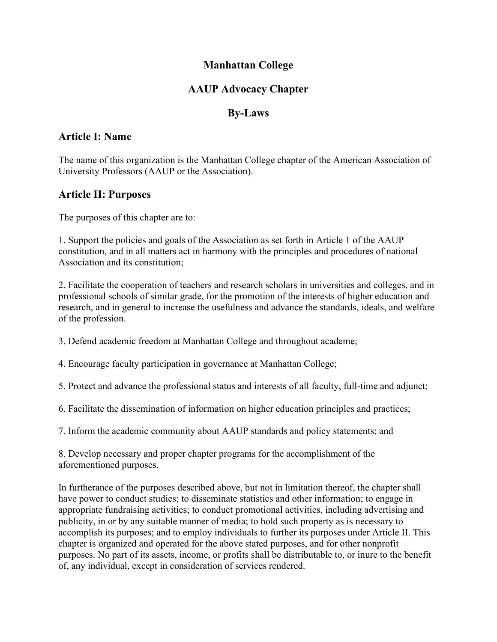#### Manhattan College

### AAUP Advocacy Chapter

#### By-Laws

#### Article I: Name

The name of this organization is the Manhattan College chapter of the American Association of University Professors (AAUP or the Association).

#### Article II: Purposes

The purposes of this chapter are to:

1. Support the policies and goals of the Association as set forth in Article 1 of the AAUP constitution, and in all matters act in harmony with the principles and procedures of national Association and its constitution;

2. Facilitate the cooperation of teachers and research scholars in universities and colleges, and in professional schools of similar grade, for the promotion of the interests of higher education and research, and in general to increase the usefulness and advance the standards, ideals, and welfare of the profession.

3. Defend academic freedom at Manhattan College and throughout academe;

4. Encourage faculty participation in governance at Manhattan College;

5. Protect and advance the professional status and interests of all faculty, full-time and adjunct;

6. Facilitate the dissemination of information on higher education principles and practices;

7. Inform the academic community about AAUP standards and policy statements; and

8. Develop necessary and proper chapter programs for the accomplishment of the aforementioned purposes.

In furtherance of the purposes described above, but not in limitation thereof, the chapter shall have power to conduct studies; to disseminate statistics and other information; to engage in appropriate fundraising activities; to conduct promotional activities, including advertising and publicity, in or by any suitable manner of media; to hold such property as is necessary to accomplish its purposes; and to employ individuals to further its purposes under Article II. This chapter is organized and operated for the above stated purposes, and for other nonprofit purposes. No part of its assets, income, or profits shall be distributable to, or inure to the benefit of, any individual, except in consideration of services rendered.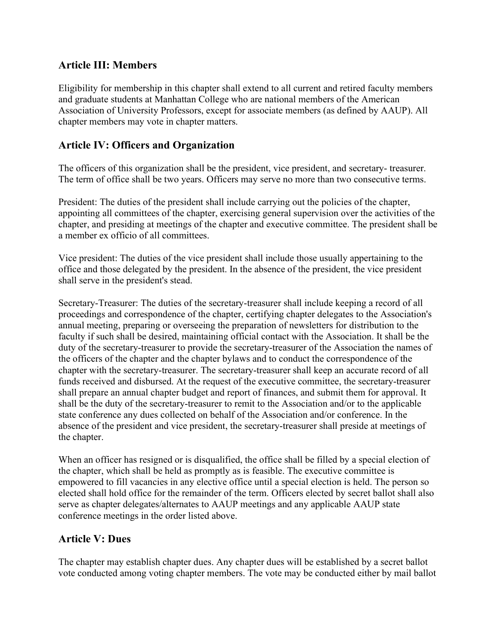### Article III: Members

Eligibility for membership in this chapter shall extend to all current and retired faculty members and graduate students at Manhattan College who are national members of the American Association of University Professors, except for associate members (as defined by AAUP). All chapter members may vote in chapter matters.

### Article IV: Officers and Organization

The officers of this organization shall be the president, vice president, and secretary- treasurer. The term of office shall be two years. Officers may serve no more than two consecutive terms.

President: The duties of the president shall include carrying out the policies of the chapter, appointing all committees of the chapter, exercising general supervision over the activities of the chapter, and presiding at meetings of the chapter and executive committee. The president shall be a member ex officio of all committees.

Vice president: The duties of the vice president shall include those usually appertaining to the office and those delegated by the president. In the absence of the president, the vice president shall serve in the president's stead.

Secretary-Treasurer: The duties of the secretary-treasurer shall include keeping a record of all proceedings and correspondence of the chapter, certifying chapter delegates to the Association's annual meeting, preparing or overseeing the preparation of newsletters for distribution to the faculty if such shall be desired, maintaining official contact with the Association. It shall be the duty of the secretary-treasurer to provide the secretary-treasurer of the Association the names of the officers of the chapter and the chapter bylaws and to conduct the correspondence of the chapter with the secretary-treasurer. The secretary-treasurer shall keep an accurate record of all funds received and disbursed. At the request of the executive committee, the secretary-treasurer shall prepare an annual chapter budget and report of finances, and submit them for approval. It shall be the duty of the secretary-treasurer to remit to the Association and/or to the applicable state conference any dues collected on behalf of the Association and/or conference. In the absence of the president and vice president, the secretary-treasurer shall preside at meetings of the chapter.

When an officer has resigned or is disqualified, the office shall be filled by a special election of the chapter, which shall be held as promptly as is feasible. The executive committee is empowered to fill vacancies in any elective office until a special election is held. The person so elected shall hold office for the remainder of the term. Officers elected by secret ballot shall also serve as chapter delegates/alternates to AAUP meetings and any applicable AAUP state conference meetings in the order listed above.

## Article V: Dues

The chapter may establish chapter dues. Any chapter dues will be established by a secret ballot vote conducted among voting chapter members. The vote may be conducted either by mail ballot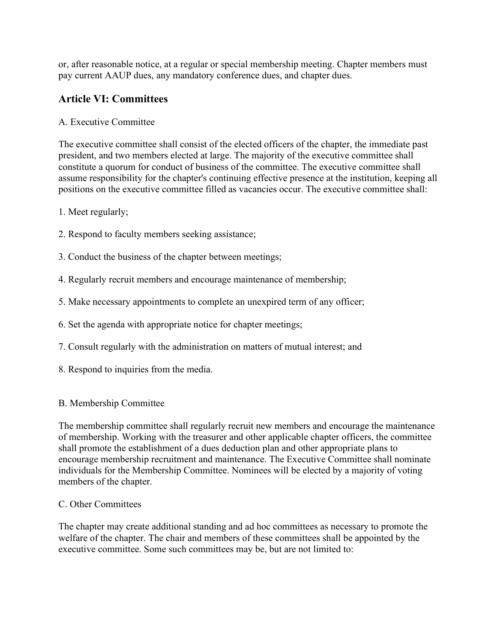or, after reasonable notice, at a regular or special membership meeting. Chapter members must pay current AAUP dues, any mandatory conference dues, and chapter dues.

### Article VI: Committees

#### A. Executive Committee

The executive committee shall consist of the elected officers of the chapter, the immediate past president, and two members elected at large. The majority of the executive committee shall constitute a quorum for conduct of business of the committee. The executive committee shall assume responsibility for the chapter's continuing effective presence at the institution, keeping all positions on the executive committee filled as vacancies occur. The executive committee shall:

1. Meet regularly;

- 2. Respond to faculty members seeking assistance;
- 3. Conduct the business of the chapter between meetings;
- 4. Regularly recruit members and encourage maintenance of membership;
- 5. Make necessary appointments to complete an unexpired term of any officer;
- 6. Set the agenda with appropriate notice for chapter meetings;
- 7. Consult regularly with the administration on matters of mutual interest; and
- 8. Respond to inquiries from the media.

#### B. Membership Committee

The membership committee shall regularly recruit new members and encourage the maintenance of membership. Working with the treasurer and other applicable chapter officers, the committee shall promote the establishment of a dues deduction plan and other appropriate plans to encourage membership recruitment and maintenance. The Executive Committee shall nominate individuals for the Membership Committee. Nominees will be elected by a majority of voting members of the chapter.

#### C. Other Committees

The chapter may create additional standing and ad hoc committees as necessary to promote the welfare of the chapter. The chair and members of these committees shall be appointed by the executive committee. Some such committees may be, but are not limited to: